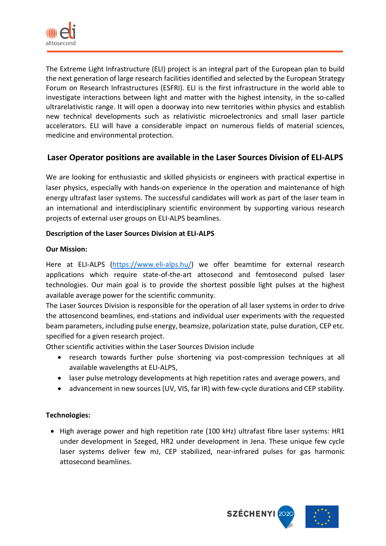

The Extreme Light Infrastructure (ELI) project is an integral part of the European plan to build the next generation of large research facilities identified and selected by the European Strategy Forum on Research Infrastructures (ESFRI). ELI is the first infrastructure in the world able to investigate interactions between light and matter with the highest intensity, in the so-called ultrarelativistic range. It will open a doorway into new territories within physics and establish new technical developments such as relativistic microelectronics and small laser particle accelerators. ELI will have a considerable impact on numerous fields of material sciences, medicine and environmental protection.

# **Laser Operator positions are available in the Laser Sources Division of ELI-ALPS**

We are looking for enthusiastic and skilled physicists or engineers with practical expertise in laser physics, especially with hands-on experience in the operation and maintenance of high energy ultrafast laser systems. The successful candidates will work as part of the laser team in an international and interdisciplinary scientific environment by supporting various research projects of external user groups on ELI-ALPS beamlines.

# **Description of the Laser Sources Division at ELI-ALPS**

## **Our Mission:**

Here at ELI-ALPS [\(https://www.eli-alps.hu/\)](https://www.eli-alps.hu/) we offer beamtime for external research applications which require state-of-the-art attosecond and femtosecond pulsed laser technologies. Our main goal is to provide the shortest possible light pulses at the highest available average power for the scientific community.

The Laser Sources Division is responsible for the operation of all laser systems in order to drive the attosencond beamlines, end-stations and individual user experiments with the requested beam parameters, including pulse energy, beamsize, polarization state, pulse duration, CEP etc. specified for a given research project.

Other scientific activities within the Laser Sources Division include

- research towards further pulse shortening via post-compression techniques at all available wavelengths at ELI-ALPS,
- laser pulse metrology developments at high repetition rates and average powers, and
- advancement in new sources (UV, VIS, far IR) with few-cycle durations and CEP stability.

# **Technologies:**

• High average power and high repetition rate (100 kHz) ultrafast fibre laser systems: HR1 under development in Szeged, HR2 under development in Jena. These unique few cycle laser systems deliver few mJ, CEP stabilized, near-infrared pulses for gas harmonic attosecond beamlines.

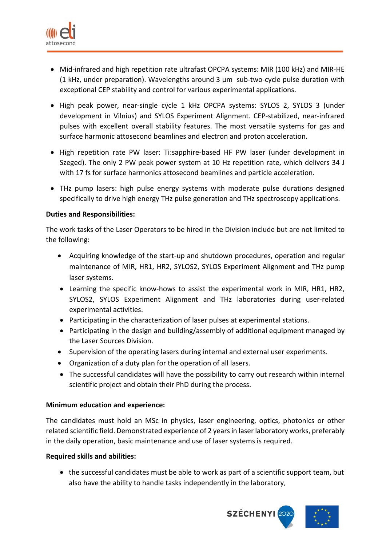

- Mid-infrared and high repetition rate ultrafast OPCPA systems: MIR (100 kHz) and MIR-HE (1 kHz, under preparation). Wavelengths around 3 μm sub-two-cycle pulse duration with exceptional CEP stability and control for various experimental applications.
- High peak power, near-single cycle 1 kHz OPCPA systems: SYLOS 2, SYLOS 3 (under development in Vilnius) and SYLOS Experiment Alignment. CEP-stabilized, near-infrared pulses with excellent overall stability features. The most versatile systems for gas and surface harmonic attosecond beamlines and electron and proton acceleration.
- High repetition rate PW laser: Ti:sapphire-based HF PW laser (under development in Szeged). The only 2 PW peak power system at 10 Hz repetition rate, which delivers 34 J with 17 fs for surface harmonics attosecond beamlines and particle acceleration.
- THz pump lasers: high pulse energy systems with moderate pulse durations designed specifically to drive high energy THz pulse generation and THz spectroscopy applications.

## **Duties and Responsibilities:**

The work tasks of the Laser Operators to be hired in the Division include but are not limited to the following:

- Acquiring knowledge of the start-up and shutdown procedures, operation and regular maintenance of MIR, HR1, HR2, SYLOS2, SYLOS Experiment Alignment and THz pump laser systems.
- Learning the specific know-hows to assist the experimental work in MIR, HR1, HR2, SYLOS2, SYLOS Experiment Alignment and THz laboratories during user-related experimental activities.
- Participating in the characterization of laser pulses at experimental stations.
- Participating in the design and building/assembly of additional equipment managed by the Laser Sources Division.
- Supervision of the operating lasers during internal and external user experiments.
- Organization of a duty plan for the operation of all lasers.
- The successful candidates will have the possibility to carry out research within internal scientific project and obtain their PhD during the process.

#### **Minimum education and experience:**

The candidates must hold an MSc in physics, laser engineering, optics, photonics or other related scientific field. Demonstrated experience of 2 years in laserlaboratory works, preferably in the daily operation, basic maintenance and use of laser systems is required.

#### **Required skills and abilities:**

• the successful candidates must be able to work as part of a scientific support team, but also have the ability to handle tasks independently in the laboratory,